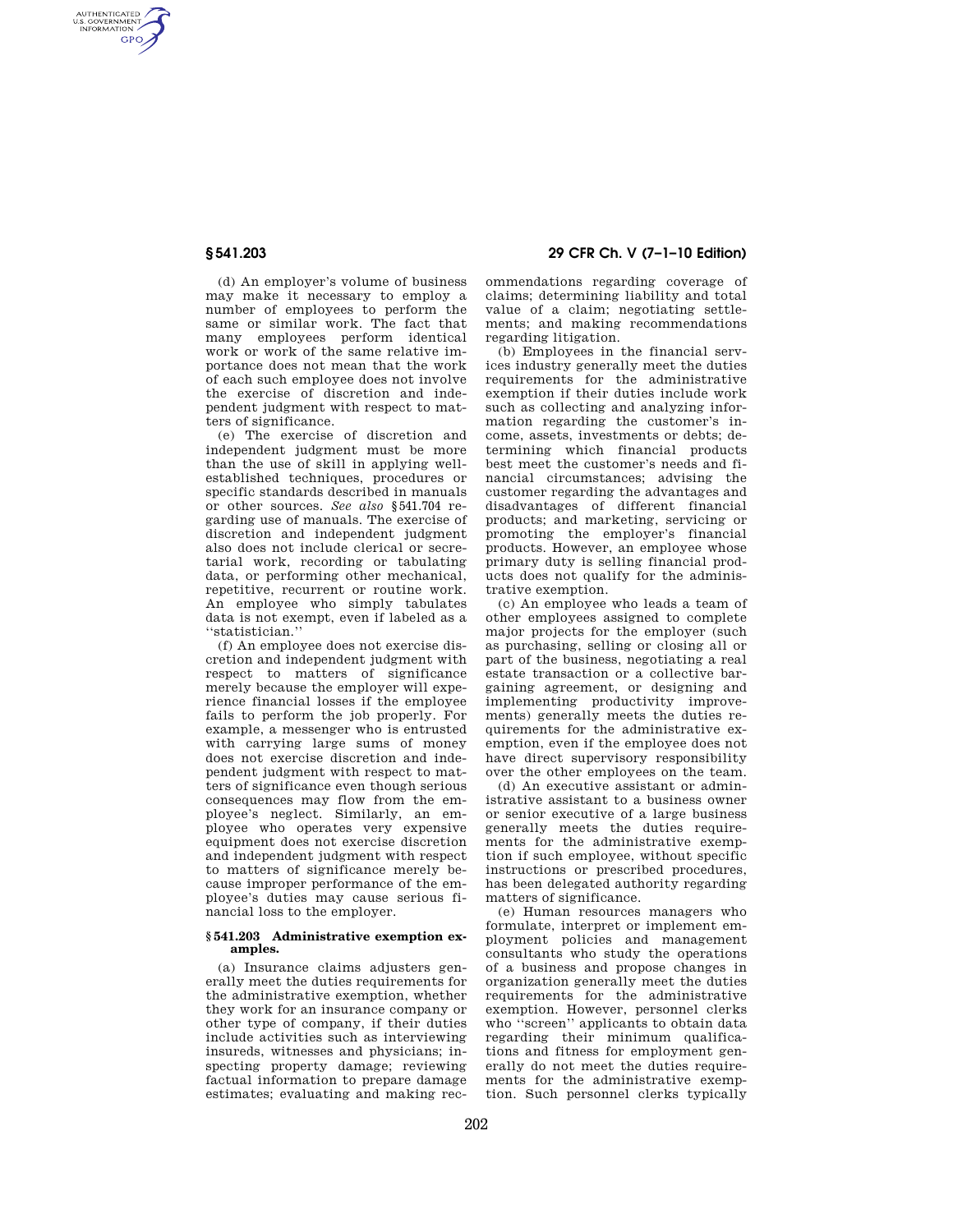AUTHENTICATED<br>U.S. GOVERNMENT<br>INFORMATION **GPO** 

**§ 541.203 29 CFR Ch. V (7–1–10 Edition)** 

(d) An employer's volume of business may make it necessary to employ a number of employees to perform the same or similar work. The fact that many employees perform identical work or work of the same relative importance does not mean that the work of each such employee does not involve the exercise of discretion and independent judgment with respect to matters of significance.

(e) The exercise of discretion and independent judgment must be more than the use of skill in applying wellestablished techniques, procedures or specific standards described in manuals or other sources. *See also* §541.704 regarding use of manuals. The exercise of discretion and independent judgment also does not include clerical or secretarial work, recording or tabulating data, or performing other mechanical, repetitive, recurrent or routine work. An employee who simply tabulates data is not exempt, even if labeled as a ''statistician.''

(f) An employee does not exercise discretion and independent judgment with respect to matters of significance merely because the employer will experience financial losses if the employee fails to perform the job properly. For example, a messenger who is entrusted with carrying large sums of money does not exercise discretion and independent judgment with respect to matters of significance even though serious consequences may flow from the employee's neglect. Similarly, an employee who operates very expensive equipment does not exercise discretion and independent judgment with respect to matters of significance merely because improper performance of the employee's duties may cause serious financial loss to the employer.

## **§ 541.203 Administrative exemption examples.**

(a) Insurance claims adjusters generally meet the duties requirements for the administrative exemption, whether they work for an insurance company or other type of company, if their duties include activities such as interviewing insureds, witnesses and physicians; inspecting property damage; reviewing factual information to prepare damage estimates; evaluating and making recommendations regarding coverage of claims; determining liability and total value of a claim; negotiating settlements; and making recommendations regarding litigation.

(b) Employees in the financial services industry generally meet the duties requirements for the administrative exemption if their duties include work such as collecting and analyzing information regarding the customer's income, assets, investments or debts; determining which financial products best meet the customer's needs and financial circumstances; advising the customer regarding the advantages and disadvantages of different financial products; and marketing, servicing or promoting the employer's financial products. However, an employee whose primary duty is selling financial products does not qualify for the administrative exemption.

(c) An employee who leads a team of other employees assigned to complete major projects for the employer (such as purchasing, selling or closing all or part of the business, negotiating a real estate transaction or a collective bargaining agreement, or designing and implementing productivity improvements) generally meets the duties requirements for the administrative exemption, even if the employee does not have direct supervisory responsibility over the other employees on the team.

(d) An executive assistant or administrative assistant to a business owner or senior executive of a large business generally meets the duties requirements for the administrative exemption if such employee, without specific instructions or prescribed procedures, has been delegated authority regarding matters of significance.

(e) Human resources managers who formulate, interpret or implement employment policies and management consultants who study the operations of a business and propose changes in organization generally meet the duties requirements for the administrative exemption. However, personnel clerks who ''screen'' applicants to obtain data regarding their minimum qualifications and fitness for employment generally do not meet the duties requirements for the administrative exemption. Such personnel clerks typically